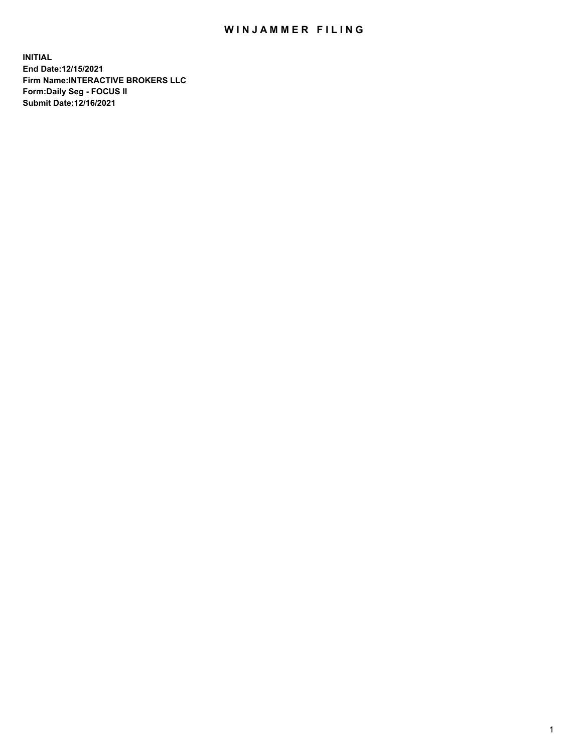## WIN JAMMER FILING

**INITIAL End Date:12/15/2021 Firm Name:INTERACTIVE BROKERS LLC Form:Daily Seg - FOCUS II Submit Date:12/16/2021**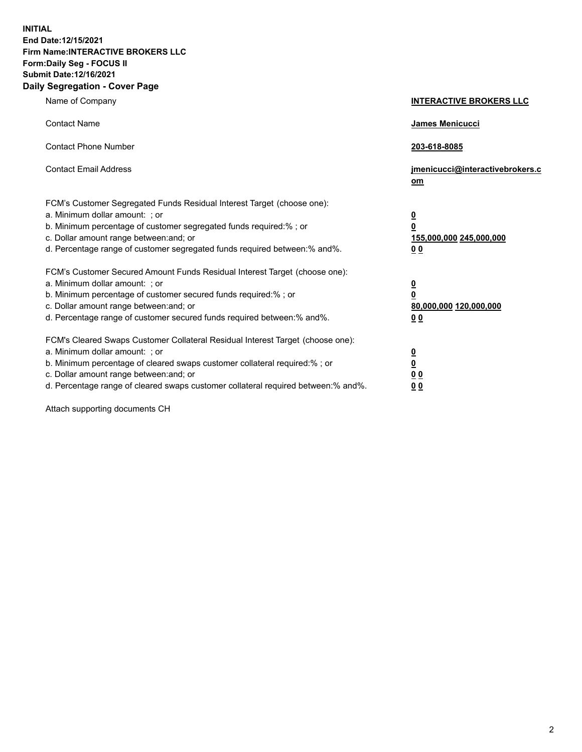**INITIAL End Date:12/15/2021 Firm Name:INTERACTIVE BROKERS LLC Form:Daily Seg - FOCUS II Submit Date:12/16/2021 Daily Segregation - Cover Page**

| Name of Company                                                                                                                                                                                                                                                                                                                | <b>INTERACTIVE BROKERS LLC</b>                                                                 |
|--------------------------------------------------------------------------------------------------------------------------------------------------------------------------------------------------------------------------------------------------------------------------------------------------------------------------------|------------------------------------------------------------------------------------------------|
| <b>Contact Name</b>                                                                                                                                                                                                                                                                                                            | James Menicucci                                                                                |
| <b>Contact Phone Number</b>                                                                                                                                                                                                                                                                                                    | 203-618-8085                                                                                   |
| <b>Contact Email Address</b>                                                                                                                                                                                                                                                                                                   | jmenicucci@interactivebrokers.c<br>om                                                          |
| FCM's Customer Segregated Funds Residual Interest Target (choose one):<br>a. Minimum dollar amount: ; or<br>b. Minimum percentage of customer segregated funds required:% ; or<br>c. Dollar amount range between: and; or<br>d. Percentage range of customer segregated funds required between:% and%.                         | $\overline{\mathbf{0}}$<br>$\overline{\mathbf{0}}$<br>155,000,000 245,000,000<br>00            |
| FCM's Customer Secured Amount Funds Residual Interest Target (choose one):<br>a. Minimum dollar amount: ; or<br>b. Minimum percentage of customer secured funds required:%; or<br>c. Dollar amount range between: and; or<br>d. Percentage range of customer secured funds required between:% and%.                            | $\overline{\mathbf{0}}$<br>$\overline{\mathbf{0}}$<br>80,000,000 120,000,000<br>0 <sub>0</sub> |
| FCM's Cleared Swaps Customer Collateral Residual Interest Target (choose one):<br>a. Minimum dollar amount: ; or<br>b. Minimum percentage of cleared swaps customer collateral required:% ; or<br>c. Dollar amount range between: and; or<br>d. Percentage range of cleared swaps customer collateral required between:% and%. | $\overline{\mathbf{0}}$<br>$\overline{\mathbf{0}}$<br>0 <sub>0</sub><br>0 <sub>0</sub>         |

Attach supporting documents CH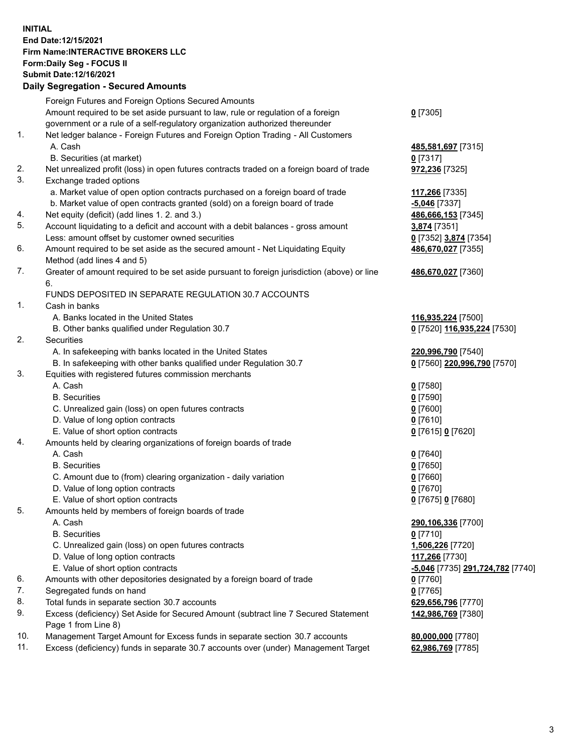## **INITIAL End Date:12/15/2021 Firm Name:INTERACTIVE BROKERS LLC Form:Daily Seg - FOCUS II Submit Date:12/16/2021 Daily Segregation - Secured Amounts**

|     | Daily Segregation - Secured Amounts                                                                        |                                               |
|-----|------------------------------------------------------------------------------------------------------------|-----------------------------------------------|
|     | Foreign Futures and Foreign Options Secured Amounts                                                        |                                               |
|     | Amount required to be set aside pursuant to law, rule or regulation of a foreign                           | $0$ [7305]                                    |
|     | government or a rule of a self-regulatory organization authorized thereunder                               |                                               |
| 1.  | Net ledger balance - Foreign Futures and Foreign Option Trading - All Customers                            |                                               |
|     | A. Cash                                                                                                    | 485,581,697 [7315]                            |
|     | B. Securities (at market)                                                                                  | $0$ [7317]                                    |
| 2.  | Net unrealized profit (loss) in open futures contracts traded on a foreign board of trade                  | 972,236 [7325]                                |
| 3.  | Exchange traded options                                                                                    |                                               |
|     | a. Market value of open option contracts purchased on a foreign board of trade                             | 117,266 [7335]                                |
|     | b. Market value of open contracts granted (sold) on a foreign board of trade                               | $-5,046$ [7337]                               |
| 4.  | Net equity (deficit) (add lines 1. 2. and 3.)                                                              | 486,666,153 [7345]                            |
| 5.  | Account liquidating to a deficit and account with a debit balances - gross amount                          | 3,874 [7351]                                  |
|     | Less: amount offset by customer owned securities                                                           | 0 [7352] 3,874 [7354]                         |
| 6.  | Amount required to be set aside as the secured amount - Net Liquidating Equity                             | 486,670,027 [7355]                            |
|     | Method (add lines 4 and 5)                                                                                 |                                               |
| 7.  | Greater of amount required to be set aside pursuant to foreign jurisdiction (above) or line                | 486,670,027 [7360]                            |
|     | 6.                                                                                                         |                                               |
|     | FUNDS DEPOSITED IN SEPARATE REGULATION 30.7 ACCOUNTS                                                       |                                               |
| 1.  | Cash in banks                                                                                              |                                               |
|     | A. Banks located in the United States                                                                      | 116,935,224 [7500]                            |
|     | B. Other banks qualified under Regulation 30.7                                                             | 0 [7520] 116,935,224 [7530]                   |
| 2.  | Securities                                                                                                 |                                               |
|     | A. In safekeeping with banks located in the United States                                                  | 220,996,790 [7540]                            |
|     | B. In safekeeping with other banks qualified under Regulation 30.7                                         | 0 [7560] 220,996,790 [7570]                   |
| 3.  | Equities with registered futures commission merchants                                                      |                                               |
|     | A. Cash                                                                                                    | $0$ [7580]                                    |
|     | <b>B.</b> Securities                                                                                       | $0$ [7590]                                    |
|     | C. Unrealized gain (loss) on open futures contracts                                                        | $0$ [7600]                                    |
|     | D. Value of long option contracts                                                                          | $0$ [7610]                                    |
|     | E. Value of short option contracts                                                                         | 0 [7615] 0 [7620]                             |
| 4.  | Amounts held by clearing organizations of foreign boards of trade                                          |                                               |
|     | A. Cash                                                                                                    | $0$ [7640]                                    |
|     | <b>B.</b> Securities                                                                                       | $0$ [7650]                                    |
|     | C. Amount due to (from) clearing organization - daily variation                                            | $0$ [7660]                                    |
|     | D. Value of long option contracts                                                                          | $0$ [7670]                                    |
|     | E. Value of short option contracts                                                                         | 0 [7675] 0 [7680]                             |
| 5.  | Amounts held by members of foreign boards of trade                                                         |                                               |
|     | A. Cash                                                                                                    | 290,106,336 [7700]                            |
|     | <b>B.</b> Securities                                                                                       | $0$ [7710]                                    |
|     | C. Unrealized gain (loss) on open futures contracts                                                        | 1,506,226 [7720]                              |
|     | D. Value of long option contracts                                                                          | 117,266 [7730]                                |
|     | E. Value of short option contracts                                                                         | <mark>-5,046</mark> [7735] 291,724,782 [7740] |
| 6.  | Amounts with other depositories designated by a foreign board of trade                                     | 0 [7760]                                      |
| 7.  | Segregated funds on hand                                                                                   | $0$ [7765]                                    |
| 8.  | Total funds in separate section 30.7 accounts                                                              | 629,656,796 [7770]                            |
| 9.  | Excess (deficiency) Set Aside for Secured Amount (subtract line 7 Secured Statement<br>Page 1 from Line 8) | 142,986,769 [7380]                            |
| 10. | Management Target Amount for Excess funds in separate section 30.7 accounts                                | 80,000,000 [7780]                             |
| 11. | Excess (deficiency) funds in separate 30.7 accounts over (under) Management Target                         | 62,986,769 [7785]                             |
|     |                                                                                                            |                                               |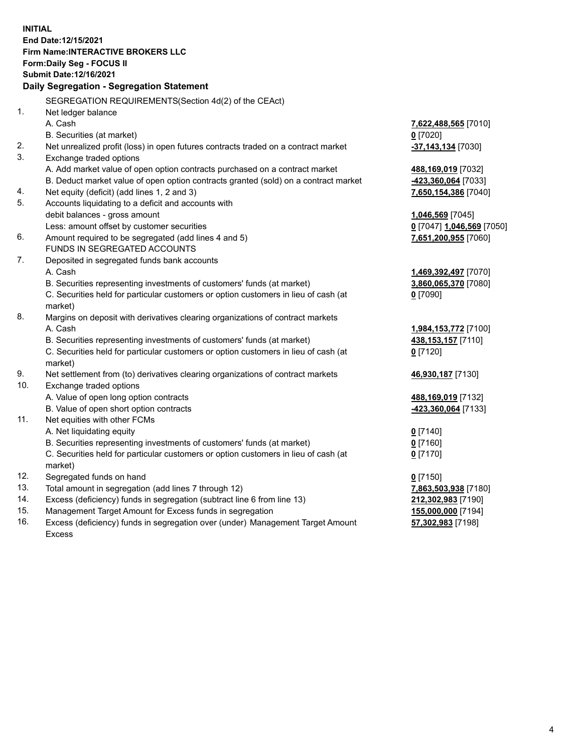**INITIAL End Date:12/15/2021 Firm Name:INTERACTIVE BROKERS LLC Form:Daily Seg - FOCUS II Submit Date:12/16/2021 Daily Segregation - Segregation Statement** SEGREGATION REQUIREMENTS(Section 4d(2) of the CEAct) 1. Net ledger balance A. Cash **7,622,488,565** [7010] B. Securities (at market) **0** [7020] 2. Net unrealized profit (loss) in open futures contracts traded on a contract market **-37,143,134** [7030] 3. Exchange traded options A. Add market value of open option contracts purchased on a contract market **488,169,019** [7032] B. Deduct market value of open option contracts granted (sold) on a contract market **-423,360,064** [7033] 4. Net equity (deficit) (add lines 1, 2 and 3) **7,650,154,386** [7040] 5. Accounts liquidating to a deficit and accounts with debit balances - gross amount **1,046,569** [7045] Less: amount offset by customer securities **0** [7047] **1,046,569** [7050] 6. Amount required to be segregated (add lines 4 and 5) **7,651,200,955** [7060] FUNDS IN SEGREGATED ACCOUNTS 7. Deposited in segregated funds bank accounts A. Cash **1,469,392,497** [7070] B. Securities representing investments of customers' funds (at market) **3,860,065,370** [7080] C. Securities held for particular customers or option customers in lieu of cash (at market) **0** [7090] 8. Margins on deposit with derivatives clearing organizations of contract markets A. Cash **1,984,153,772** [7100] B. Securities representing investments of customers' funds (at market) **438,153,157** [7110] C. Securities held for particular customers or option customers in lieu of cash (at market) **0** [7120] 9. Net settlement from (to) derivatives clearing organizations of contract markets **46,930,187** [7130] 10. Exchange traded options A. Value of open long option contracts **488,169,019** [7132] B. Value of open short option contracts **-423,360,064** [7133] 11. Net equities with other FCMs A. Net liquidating equity **0** [7140] B. Securities representing investments of customers' funds (at market) **0** [7160] C. Securities held for particular customers or option customers in lieu of cash (at market) **0** [7170] 12. Segregated funds on hand **0** [7150] 13. Total amount in segregation (add lines 7 through 12) **7,863,503,938** [7180] 14. Excess (deficiency) funds in segregation (subtract line 6 from line 13) **212,302,983** [7190] 15. Management Target Amount for Excess funds in segregation **155,000,000** [7194] 16. Excess (deficiency) funds in segregation over (under) Management Target Amount **57,302,983** [7198]

Excess